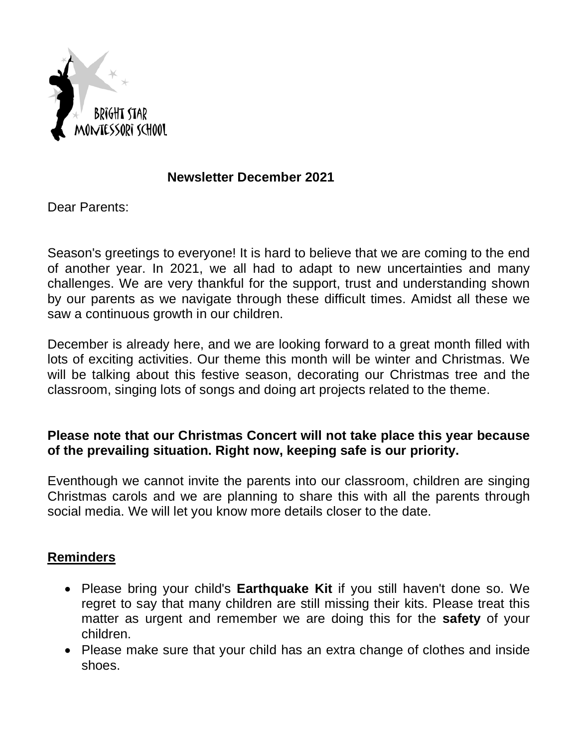

# **Newsletter December 2021**

Dear Parents:

Season's greetings to everyone! It is hard to believe that we are coming to the end of another year. In 2021, we all had to adapt to new uncertainties and many challenges. We are very thankful for the support, trust and understanding shown by our parents as we navigate through these difficult times. Amidst all these we saw a continuous growth in our children.

December is already here, and we are looking forward to a great month filled with lots of exciting activities. Our theme this month will be winter and Christmas. We will be talking about this festive season, decorating our Christmas tree and the classroom, singing lots of songs and doing art projects related to the theme.

# **Please note that our Christmas Concert will not take place this year because of the prevailing situation. Right now, keeping safe is our priority.**

Eventhough we cannot invite the parents into our classroom, children are singing Christmas carols and we are planning to share this with all the parents through social media. We will let you know more details closer to the date.

# **Reminders**

- Please bring your child's **Earthquake Kit** if you still haven't done so. We regret to say that many children are still missing their kits. Please treat this matter as urgent and remember we are doing this for the **safety** of your children.
- Please make sure that your child has an extra change of clothes and inside shoes.